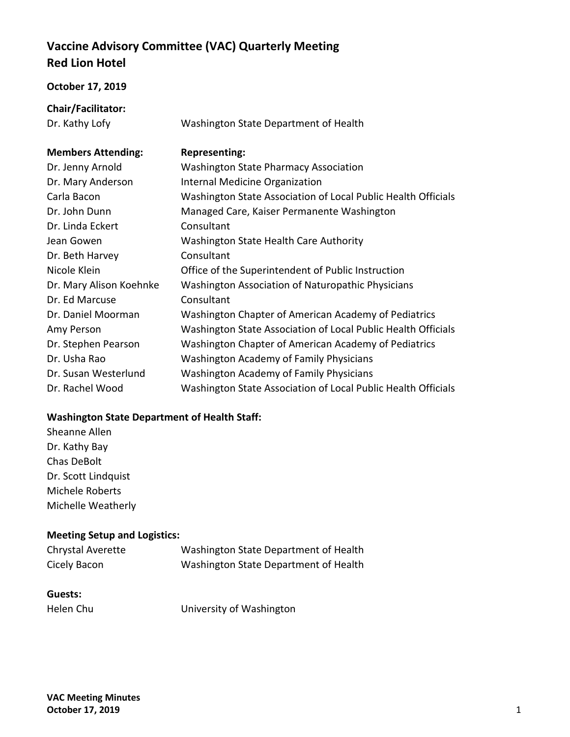# **Vaccine Advisory Committee (VAC) Quarterly Meeting Red Lion Hotel**

#### **October 17, 2019**

| Chair/Facilitator:        |                                                               |
|---------------------------|---------------------------------------------------------------|
| Dr. Kathy Lofy            | Washington State Department of Health                         |
|                           |                                                               |
| <b>Members Attending:</b> | <b>Representing:</b>                                          |
| Dr. Jenny Arnold          | <b>Washington State Pharmacy Association</b>                  |
| Dr. Mary Anderson         | Internal Medicine Organization                                |
| Carla Bacon               | Washington State Association of Local Public Health Officials |
| Dr. John Dunn             | Managed Care, Kaiser Permanente Washington                    |
| Dr. Linda Eckert          | Consultant                                                    |
| Jean Gowen                | Washington State Health Care Authority                        |
| Dr. Beth Harvey           | Consultant                                                    |
| Nicole Klein              | Office of the Superintendent of Public Instruction            |
| Dr. Mary Alison Koehnke   | Washington Association of Naturopathic Physicians             |
| Dr. Ed Marcuse            | Consultant                                                    |
| Dr. Daniel Moorman        | Washington Chapter of American Academy of Pediatrics          |
| Amy Person                | Washington State Association of Local Public Health Officials |
| Dr. Stephen Pearson       | Washington Chapter of American Academy of Pediatrics          |
| Dr. Usha Rao              | <b>Washington Academy of Family Physicians</b>                |
| Dr. Susan Westerlund      | <b>Washington Academy of Family Physicians</b>                |
| Dr. Rachel Wood           | Washington State Association of Local Public Health Officials |

## **Washington State Department of Health Staff:**

Sheanne Allen Dr. Kathy Bay Chas DeBolt Dr. Scott Lindquist Michele Roberts Michelle Weatherly

## **Meeting Setup and Logistics:**

| <b>Chrystal Averette</b> | Washington State Department of Health |
|--------------------------|---------------------------------------|
| Cicely Bacon             | Washington State Department of Health |

#### **Guests:**

Helen Chu University of Washington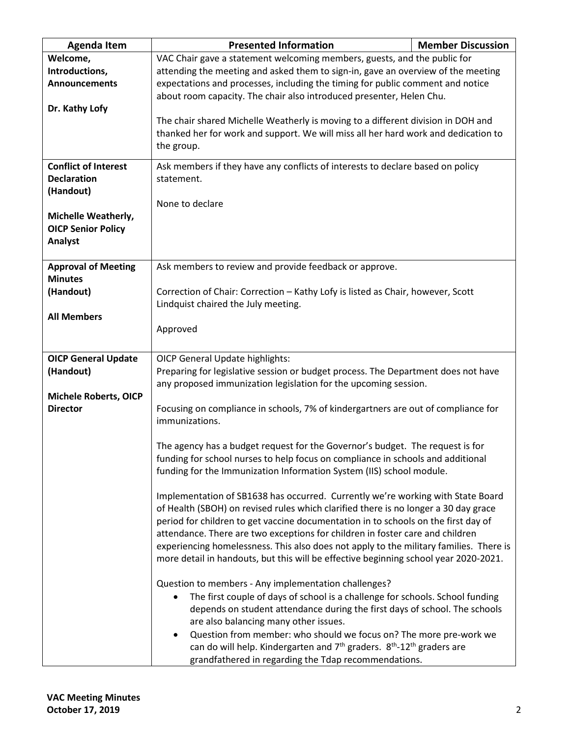| <b>Agenda Item</b>                                                   | <b>Presented Information</b>                                                                                                                                                                                                                                                                                                                                                                                                                                                                                                    | <b>Member Discussion</b> |  |
|----------------------------------------------------------------------|---------------------------------------------------------------------------------------------------------------------------------------------------------------------------------------------------------------------------------------------------------------------------------------------------------------------------------------------------------------------------------------------------------------------------------------------------------------------------------------------------------------------------------|--------------------------|--|
| Welcome,<br>Introductions,<br><b>Announcements</b><br>Dr. Kathy Lofy | VAC Chair gave a statement welcoming members, guests, and the public for<br>attending the meeting and asked them to sign-in, gave an overview of the meeting<br>expectations and processes, including the timing for public comment and notice<br>about room capacity. The chair also introduced presenter, Helen Chu.<br>The chair shared Michelle Weatherly is moving to a different division in DOH and<br>thanked her for work and support. We will miss all her hard work and dedication to<br>the group.                  |                          |  |
| <b>Conflict of Interest</b><br><b>Declaration</b><br>(Handout)       | Ask members if they have any conflicts of interests to declare based on policy<br>statement.<br>None to declare                                                                                                                                                                                                                                                                                                                                                                                                                 |                          |  |
| Michelle Weatherly,<br><b>OICP Senior Policy</b><br>Analyst          |                                                                                                                                                                                                                                                                                                                                                                                                                                                                                                                                 |                          |  |
| <b>Approval of Meeting</b>                                           | Ask members to review and provide feedback or approve.                                                                                                                                                                                                                                                                                                                                                                                                                                                                          |                          |  |
| <b>Minutes</b><br>(Handout)                                          | Correction of Chair: Correction - Kathy Lofy is listed as Chair, however, Scott                                                                                                                                                                                                                                                                                                                                                                                                                                                 |                          |  |
|                                                                      | Lindquist chaired the July meeting.                                                                                                                                                                                                                                                                                                                                                                                                                                                                                             |                          |  |
| <b>All Members</b>                                                   | Approved                                                                                                                                                                                                                                                                                                                                                                                                                                                                                                                        |                          |  |
| <b>OICP General Update</b>                                           | <b>OICP General Update highlights:</b>                                                                                                                                                                                                                                                                                                                                                                                                                                                                                          |                          |  |
| (Handout)                                                            | Preparing for legislative session or budget process. The Department does not have<br>any proposed immunization legislation for the upcoming session.                                                                                                                                                                                                                                                                                                                                                                            |                          |  |
| <b>Michele Roberts, OICP</b>                                         |                                                                                                                                                                                                                                                                                                                                                                                                                                                                                                                                 |                          |  |
| <b>Director</b>                                                      | Focusing on compliance in schools, 7% of kindergartners are out of compliance for<br>immunizations.                                                                                                                                                                                                                                                                                                                                                                                                                             |                          |  |
|                                                                      | The agency has a budget request for the Governor's budget. The request is for<br>funding for school nurses to help focus on compliance in schools and additional<br>funding for the Immunization Information System (IIS) school module.                                                                                                                                                                                                                                                                                        |                          |  |
|                                                                      | Implementation of SB1638 has occurred. Currently we're working with State Board<br>of Health (SBOH) on revised rules which clarified there is no longer a 30 day grace<br>period for children to get vaccine documentation in to schools on the first day of<br>attendance. There are two exceptions for children in foster care and children<br>experiencing homelessness. This also does not apply to the military families. There is<br>more detail in handouts, but this will be effective beginning school year 2020-2021. |                          |  |
|                                                                      | Question to members - Any implementation challenges?<br>The first couple of days of school is a challenge for schools. School funding<br>$\bullet$<br>depends on student attendance during the first days of school. The schools<br>are also balancing many other issues.<br>Question from member: who should we focus on? The more pre-work we<br>can do will help. Kindergarten and $7^{th}$ graders. $8^{th}$ -12 <sup>th</sup> graders are<br>grandfathered in regarding the Tdap recommendations.                          |                          |  |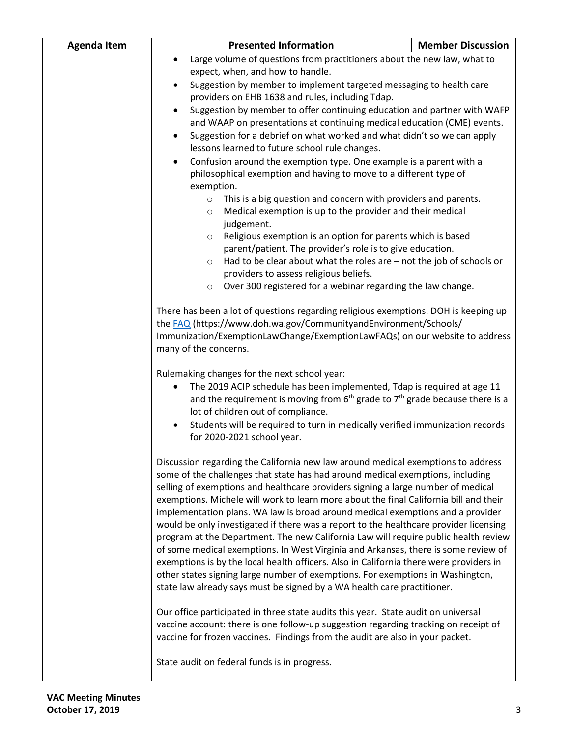| <b>Agenda Item</b> | <b>Presented Information</b>                                                                                                                                            | <b>Member Discussion</b>                                                                                                                                                                                                               |  |
|--------------------|-------------------------------------------------------------------------------------------------------------------------------------------------------------------------|----------------------------------------------------------------------------------------------------------------------------------------------------------------------------------------------------------------------------------------|--|
|                    | Large volume of questions from practitioners about the new law, what to<br>$\bullet$                                                                                    |                                                                                                                                                                                                                                        |  |
|                    | expect, when, and how to handle.                                                                                                                                        |                                                                                                                                                                                                                                        |  |
|                    | Suggestion by member to implement targeted messaging to health care                                                                                                     |                                                                                                                                                                                                                                        |  |
|                    | providers on EHB 1638 and rules, including Tdap.                                                                                                                        |                                                                                                                                                                                                                                        |  |
|                    | Suggestion by member to offer continuing education and partner with WAFP<br>$\bullet$<br>and WAAP on presentations at continuing medical education (CME) events.        |                                                                                                                                                                                                                                        |  |
|                    | Suggestion for a debrief on what worked and what didn't so we can apply                                                                                                 |                                                                                                                                                                                                                                        |  |
|                    | lessons learned to future school rule changes.                                                                                                                          |                                                                                                                                                                                                                                        |  |
|                    | Confusion around the exemption type. One example is a parent with a<br>$\bullet$                                                                                        |                                                                                                                                                                                                                                        |  |
|                    | philosophical exemption and having to move to a different type of                                                                                                       |                                                                                                                                                                                                                                        |  |
|                    | exemption.                                                                                                                                                              |                                                                                                                                                                                                                                        |  |
|                    | This is a big question and concern with providers and parents.<br>$\circ$                                                                                               |                                                                                                                                                                                                                                        |  |
|                    | judgement.                                                                                                                                                              | Medical exemption is up to the provider and their medical<br>$\circ$                                                                                                                                                                   |  |
|                    | Religious exemption is an option for parents which is based<br>$\circ$                                                                                                  |                                                                                                                                                                                                                                        |  |
|                    | parent/patient. The provider's role is to give education.                                                                                                               |                                                                                                                                                                                                                                        |  |
|                    | Had to be clear about what the roles are – not the job of schools or<br>$\circ$                                                                                         |                                                                                                                                                                                                                                        |  |
|                    | providers to assess religious beliefs.                                                                                                                                  |                                                                                                                                                                                                                                        |  |
|                    | Over 300 registered for a webinar regarding the law change.<br>$\circ$                                                                                                  |                                                                                                                                                                                                                                        |  |
|                    | many of the concerns.                                                                                                                                                   | There has been a lot of questions regarding religious exemptions. DOH is keeping up<br>the FAQ (https://www.doh.wa.gov/CommunityandEnvironment/Schools/<br>Immunization/ExemptionLawChange/ExemptionLawFAQs) on our website to address |  |
|                    | Rulemaking changes for the next school year:                                                                                                                            |                                                                                                                                                                                                                                        |  |
|                    | The 2019 ACIP schedule has been implemented, Tdap is required at age 11<br>and the requirement is moving from $6th$ grade to $7th$ grade because there is a             |                                                                                                                                                                                                                                        |  |
|                    | lot of children out of compliance.                                                                                                                                      |                                                                                                                                                                                                                                        |  |
|                    | Students will be required to turn in medically verified immunization records<br>for 2020-2021 school year.                                                              |                                                                                                                                                                                                                                        |  |
|                    | Discussion regarding the California new law around medical exemptions to address                                                                                        |                                                                                                                                                                                                                                        |  |
|                    | some of the challenges that state has had around medical exemptions, including                                                                                          |                                                                                                                                                                                                                                        |  |
|                    | selling of exemptions and healthcare providers signing a large number of medical                                                                                        |                                                                                                                                                                                                                                        |  |
|                    | exemptions. Michele will work to learn more about the final California bill and their<br>implementation plans. WA law is broad around medical exemptions and a provider |                                                                                                                                                                                                                                        |  |
|                    | would be only investigated if there was a report to the healthcare provider licensing                                                                                   |                                                                                                                                                                                                                                        |  |
|                    | program at the Department. The new California Law will require public health review                                                                                     |                                                                                                                                                                                                                                        |  |
|                    | of some medical exemptions. In West Virginia and Arkansas, there is some review of                                                                                      |                                                                                                                                                                                                                                        |  |
|                    | exemptions is by the local health officers. Also in California there were providers in                                                                                  |                                                                                                                                                                                                                                        |  |
|                    | other states signing large number of exemptions. For exemptions in Washington,<br>state law already says must be signed by a WA health care practitioner.               |                                                                                                                                                                                                                                        |  |
|                    |                                                                                                                                                                         |                                                                                                                                                                                                                                        |  |
|                    | Our office participated in three state audits this year. State audit on universal                                                                                       |                                                                                                                                                                                                                                        |  |
|                    | vaccine account: there is one follow-up suggestion regarding tracking on receipt of                                                                                     |                                                                                                                                                                                                                                        |  |
|                    | vaccine for frozen vaccines. Findings from the audit are also in your packet.                                                                                           |                                                                                                                                                                                                                                        |  |
|                    | State audit on federal funds is in progress.                                                                                                                            |                                                                                                                                                                                                                                        |  |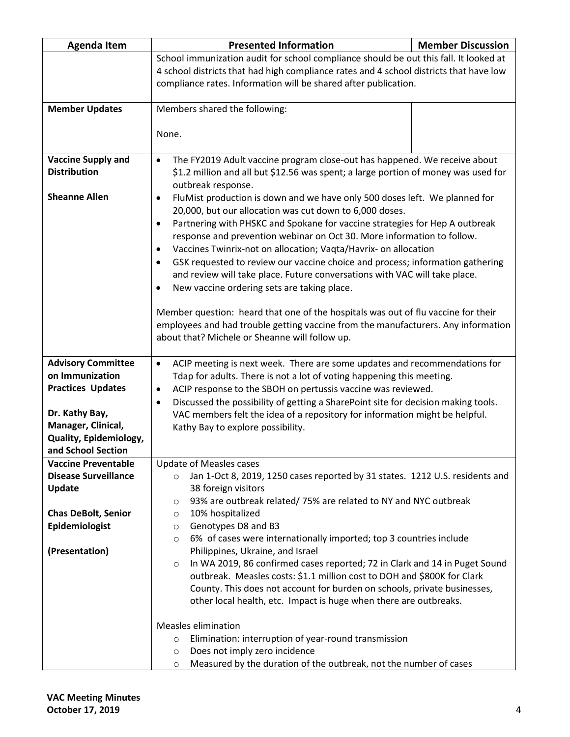| <b>Agenda Item</b>                               | <b>Presented Information</b>                                                                                                                                               | <b>Member Discussion</b> |  |
|--------------------------------------------------|----------------------------------------------------------------------------------------------------------------------------------------------------------------------------|--------------------------|--|
|                                                  | School immunization audit for school compliance should be out this fall. It looked at                                                                                      |                          |  |
|                                                  | 4 school districts that had high compliance rates and 4 school districts that have low                                                                                     |                          |  |
|                                                  | compliance rates. Information will be shared after publication.                                                                                                            |                          |  |
|                                                  |                                                                                                                                                                            |                          |  |
| <b>Member Updates</b>                            | Members shared the following:                                                                                                                                              |                          |  |
|                                                  | None.                                                                                                                                                                      |                          |  |
|                                                  |                                                                                                                                                                            |                          |  |
| <b>Vaccine Supply and</b>                        | The FY2019 Adult vaccine program close-out has happened. We receive about<br>$\bullet$                                                                                     |                          |  |
| <b>Distribution</b>                              | \$1.2 million and all but \$12.56 was spent; a large portion of money was used for                                                                                         |                          |  |
|                                                  | outbreak response.                                                                                                                                                         |                          |  |
| <b>Sheanne Allen</b>                             | FluMist production is down and we have only 500 doses left. We planned for<br>٠                                                                                            |                          |  |
|                                                  | 20,000, but our allocation was cut down to 6,000 doses.                                                                                                                    |                          |  |
|                                                  | Partnering with PHSKC and Spokane for vaccine strategies for Hep A outbreak<br>٠                                                                                           |                          |  |
|                                                  | response and prevention webinar on Oct 30. More information to follow.                                                                                                     |                          |  |
|                                                  | Vaccines Twinrix-not on allocation; Vaqta/Havrix- on allocation<br>$\bullet$<br>GSK requested to review our vaccine choice and process; information gathering<br>$\bullet$ |                          |  |
|                                                  | and review will take place. Future conversations with VAC will take place.                                                                                                 |                          |  |
|                                                  | New vaccine ordering sets are taking place.<br>$\bullet$                                                                                                                   |                          |  |
|                                                  |                                                                                                                                                                            |                          |  |
|                                                  | Member question: heard that one of the hospitals was out of flu vaccine for their                                                                                          |                          |  |
|                                                  | employees and had trouble getting vaccine from the manufacturers. Any information                                                                                          |                          |  |
|                                                  | about that? Michele or Sheanne will follow up.                                                                                                                             |                          |  |
| <b>Advisory Committee</b>                        | $\bullet$                                                                                                                                                                  |                          |  |
| on Immunization                                  | ACIP meeting is next week. There are some updates and recommendations for<br>Tdap for adults. There is not a lot of voting happening this meeting.                         |                          |  |
| <b>Practices Updates</b>                         | ACIP response to the SBOH on pertussis vaccine was reviewed.<br>$\bullet$                                                                                                  |                          |  |
|                                                  | Discussed the possibility of getting a SharePoint site for decision making tools.<br>٠                                                                                     |                          |  |
| Dr. Kathy Bay,                                   | VAC members felt the idea of a repository for information might be helpful.                                                                                                |                          |  |
| Manager, Clinical,                               | Kathy Bay to explore possibility.                                                                                                                                          |                          |  |
| Quality, Epidemiology,                           |                                                                                                                                                                            |                          |  |
| and School Section<br><b>Vaccine Preventable</b> | <b>Update of Measles cases</b>                                                                                                                                             |                          |  |
| <b>Disease Surveillance</b>                      | Jan 1-Oct 8, 2019, 1250 cases reported by 31 states. 1212 U.S. residents and<br>$\circ$                                                                                    |                          |  |
| Update                                           | 38 foreign visitors                                                                                                                                                        |                          |  |
|                                                  | 93% are outbreak related/75% are related to NY and NYC outbreak<br>O                                                                                                       |                          |  |
| <b>Chas DeBolt, Senior</b>                       | 10% hospitalized<br>O                                                                                                                                                      |                          |  |
| Epidemiologist                                   | Genotypes D8 and B3<br>O                                                                                                                                                   |                          |  |
|                                                  | 6% of cases were internationally imported; top 3 countries include<br>$\circ$                                                                                              |                          |  |
| (Presentation)                                   | Philippines, Ukraine, and Israel<br>In WA 2019, 86 confirmed cases reported; 72 in Clark and 14 in Puget Sound<br>O                                                        |                          |  |
|                                                  | outbreak. Measles costs: \$1.1 million cost to DOH and \$800K for Clark                                                                                                    |                          |  |
|                                                  | County. This does not account for burden on schools, private businesses,                                                                                                   |                          |  |
|                                                  | other local health, etc. Impact is huge when there are outbreaks.                                                                                                          |                          |  |
|                                                  |                                                                                                                                                                            |                          |  |
|                                                  | <b>Measles elimination</b>                                                                                                                                                 |                          |  |
|                                                  | Elimination: interruption of year-round transmission<br>$\circ$                                                                                                            |                          |  |
|                                                  | Does not imply zero incidence<br>$\circ$<br>Measured by the duration of the outbreak, not the number of cases<br>$\circ$                                                   |                          |  |
|                                                  |                                                                                                                                                                            |                          |  |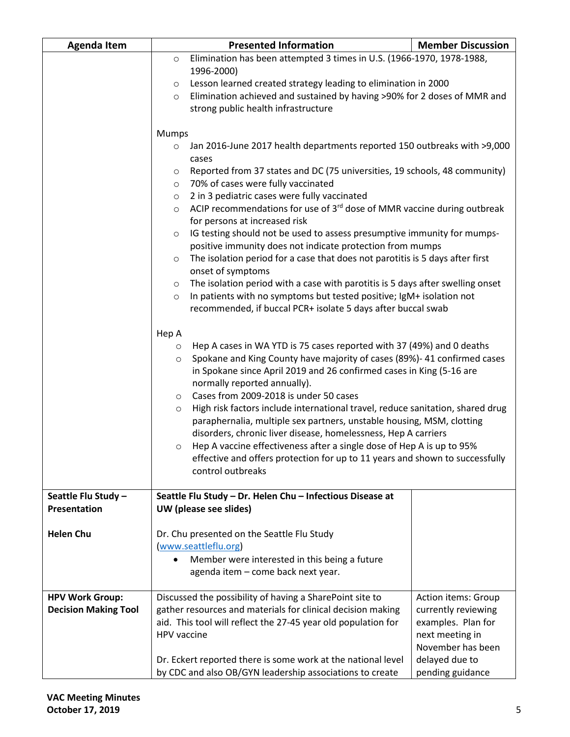| <b>Agenda Item</b>          |                      | <b>Presented Information</b>                                                                                                         | <b>Member Discussion</b> |  |
|-----------------------------|----------------------|--------------------------------------------------------------------------------------------------------------------------------------|--------------------------|--|
|                             | O                    | Elimination has been attempted 3 times in U.S. (1966-1970, 1978-1988,                                                                |                          |  |
|                             |                      | 1996-2000)                                                                                                                           |                          |  |
|                             | $\circ$              | Lesson learned created strategy leading to elimination in 2000                                                                       |                          |  |
|                             | $\circ$              | Elimination achieved and sustained by having >90% for 2 doses of MMR and                                                             |                          |  |
|                             |                      | strong public health infrastructure                                                                                                  |                          |  |
|                             | Mumps                |                                                                                                                                      |                          |  |
|                             | $\circ$              | Jan 2016-June 2017 health departments reported 150 outbreaks with >9,000                                                             |                          |  |
|                             |                      | cases                                                                                                                                |                          |  |
|                             | O                    | Reported from 37 states and DC (75 universities, 19 schools, 48 community)                                                           |                          |  |
|                             | $\circ$              | 70% of cases were fully vaccinated                                                                                                   |                          |  |
|                             | $\circ$              | 2 in 3 pediatric cases were fully vaccinated                                                                                         |                          |  |
|                             | $\circ$              | ACIP recommendations for use of 3rd dose of MMR vaccine during outbreak                                                              |                          |  |
|                             |                      | for persons at increased risk                                                                                                        |                          |  |
|                             | $\circ$              | IG testing should not be used to assess presumptive immunity for mumps-<br>positive immunity does not indicate protection from mumps |                          |  |
|                             | $\circ$              |                                                                                                                                      |                          |  |
|                             |                      | The isolation period for a case that does not parotitis is 5 days after first<br>onset of symptoms                                   |                          |  |
|                             | O                    | The isolation period with a case with parotitis is 5 days after swelling onset                                                       |                          |  |
|                             | $\circ$              | In patients with no symptoms but tested positive; IgM+ isolation not                                                                 |                          |  |
|                             |                      | recommended, if buccal PCR+ isolate 5 days after buccal swab                                                                         |                          |  |
|                             |                      |                                                                                                                                      |                          |  |
|                             | Hep A                |                                                                                                                                      |                          |  |
|                             |                      | Hep A cases in WA YTD is 75 cases reported with 37 (49%) and 0 deaths<br>$\circ$                                                     |                          |  |
|                             | $\circ$              | Spokane and King County have majority of cases (89%)- 41 confirmed cases                                                             |                          |  |
|                             |                      | in Spokane since April 2019 and 26 confirmed cases in King (5-16 are<br>normally reported annually).                                 |                          |  |
|                             | $\circ$              | Cases from 2009-2018 is under 50 cases                                                                                               |                          |  |
|                             | $\circ$              | High risk factors include international travel, reduce sanitation, shared drug                                                       |                          |  |
|                             |                      | paraphernalia, multiple sex partners, unstable housing, MSM, clotting                                                                |                          |  |
|                             |                      | disorders, chronic liver disease, homelessness, Hep A carriers                                                                       |                          |  |
|                             | $\circ$              | Hep A vaccine effectiveness after a single dose of Hep A is up to 95%                                                                |                          |  |
|                             |                      | effective and offers protection for up to 11 years and shown to successfully                                                         |                          |  |
|                             |                      | control outbreaks                                                                                                                    |                          |  |
| Seattle Flu Study -         |                      | Seattle Flu Study - Dr. Helen Chu - Infectious Disease at                                                                            |                          |  |
| Presentation                |                      | UW (please see slides)                                                                                                               |                          |  |
|                             |                      |                                                                                                                                      |                          |  |
| <b>Helen Chu</b>            |                      | Dr. Chu presented on the Seattle Flu Study                                                                                           |                          |  |
|                             | (www.seattleflu.org) |                                                                                                                                      |                          |  |
|                             |                      | Member were interested in this being a future                                                                                        |                          |  |
|                             |                      | agenda item - come back next year.                                                                                                   |                          |  |
| <b>HPV Work Group:</b>      |                      | Discussed the possibility of having a SharePoint site to                                                                             | Action items: Group      |  |
| <b>Decision Making Tool</b> |                      | gather resources and materials for clinical decision making                                                                          | currently reviewing      |  |
|                             |                      | aid. This tool will reflect the 27-45 year old population for                                                                        | examples. Plan for       |  |
|                             | <b>HPV</b> vaccine   |                                                                                                                                      | next meeting in          |  |
|                             |                      |                                                                                                                                      | November has been        |  |
|                             |                      | Dr. Eckert reported there is some work at the national level                                                                         | delayed due to           |  |
|                             |                      | by CDC and also OB/GYN leadership associations to create                                                                             | pending guidance         |  |